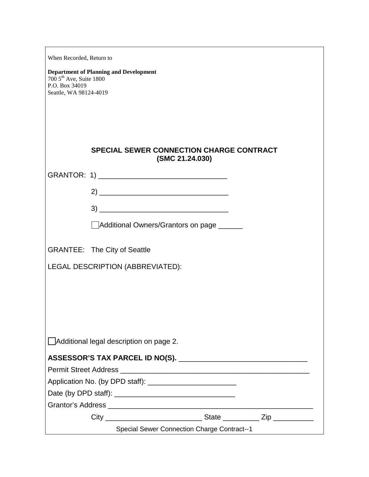| When Recorded, Return to                                                         |                                                                    |  |  |  |  |
|----------------------------------------------------------------------------------|--------------------------------------------------------------------|--|--|--|--|
| $7005$ <sup>th</sup> Ave, Suite 1800<br>P.O. Box 34019<br>Seattle, WA 98124-4019 | <b>Department of Planning and Development</b>                      |  |  |  |  |
|                                                                                  | <b>SPECIAL SEWER CONNECTION CHARGE CONTRACT</b><br>(SMC 21.24.030) |  |  |  |  |
|                                                                                  |                                                                    |  |  |  |  |
|                                                                                  |                                                                    |  |  |  |  |
|                                                                                  |                                                                    |  |  |  |  |
|                                                                                  |                                                                    |  |  |  |  |
|                                                                                  | Additional Owners/Grantors on page _____                           |  |  |  |  |
|                                                                                  | <b>GRANTEE: The City of Seattle</b>                                |  |  |  |  |
| LEGAL DESCRIPTION (ABBREVIATED):                                                 |                                                                    |  |  |  |  |
|                                                                                  |                                                                    |  |  |  |  |
|                                                                                  |                                                                    |  |  |  |  |
|                                                                                  |                                                                    |  |  |  |  |
|                                                                                  |                                                                    |  |  |  |  |
| $\Box$ Additional legal description on page 2.                                   |                                                                    |  |  |  |  |
|                                                                                  |                                                                    |  |  |  |  |
|                                                                                  |                                                                    |  |  |  |  |
|                                                                                  |                                                                    |  |  |  |  |
|                                                                                  |                                                                    |  |  |  |  |
|                                                                                  |                                                                    |  |  |  |  |
|                                                                                  |                                                                    |  |  |  |  |
| <b>Special Sewer Connection Charge Contract--1</b>                               |                                                                    |  |  |  |  |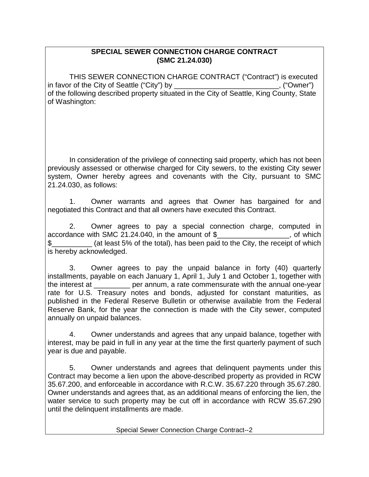## **SPECIAL SEWER CONNECTION CHARGE CONTRACT (SMC 21.24.030)**

THIS SEWER CONNECTION CHARGE CONTRACT ("Contract") is executed in favor of the City of Seattle ("City") by example and the City of Seattle ("City") by of the following described property situated in the City of Seattle, King County, State of Washington:

In consideration of the privilege of connecting said property, which has not been previously assessed or otherwise charged for City sewers, to the existing City sewer system, Owner hereby agrees and covenants with the City, pursuant to SMC 21.24.030, as follows:

1. Owner warrants and agrees that Owner has bargained for and negotiated this Contract and that all owners have executed this Contract.

2. Owner agrees to pay a special connection charge, computed in accordance with SMC 21.24.040, in the amount of  $\frac{1}{2}$  \_\_\_\_\_\_\_\_\_\_\_\_\_\_\_\_\_\_, of which \$\_\_\_\_\_\_\_\_\_\_ (at least 5% of the total), has been paid to the City, the receipt of which is hereby acknowledged.

3. Owner agrees to pay the unpaid balance in forty (40) quarterly installments, payable on each January 1, April 1, July 1 and October 1, together with the interest at \_\_\_\_\_\_\_\_\_ per annum, a rate commensurate with the annual one-year rate for U.S. Treasury notes and bonds, adjusted for constant maturities, as published in the Federal Reserve Bulletin or otherwise available from the Federal Reserve Bank, for the year the connection is made with the City sewer, computed annually on unpaid balances.

4. Owner understands and agrees that any unpaid balance, together with interest, may be paid in full in any year at the time the first quarterly payment of such year is due and payable.

5. Owner understands and agrees that delinquent payments under this Contract may become a lien upon the above-described property as provided in RCW 35.67.200, and enforceable in accordance with R.C.W. 35.67.220 through 35.67.280. Owner understands and agrees that, as an additional means of enforcing the lien, the water service to such property may be cut off in accordance with RCW 35.67.290 until the delinquent installments are made.

Special Sewer Connection Charge Contract--2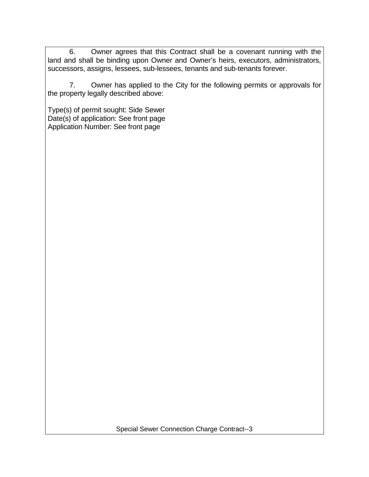6. Owner agrees that this Contract shall be a covenant running with the land and shall be binding upon Owner and Owner's heirs, executors, administrators, successors, assigns, lessees, sub-lessees, tenants and sub-tenants forever.

7. Owner has applied to the City for the following permits or approvals for the property legally described above:

Type(s) of permit sought: Side Sewer Date(s) of application: See front page Application Number: See front page

Special Sewer Connection Charge Contract--3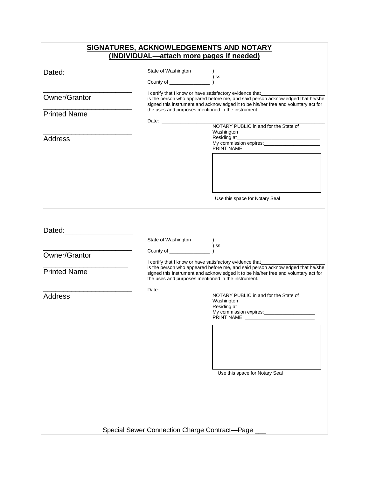|                               | SIGNATURES, ACKNOWLEDGEMENTS AND NOTARY       |                                                                                                                                                                                                                                                                                                   |  |  |  |
|-------------------------------|-----------------------------------------------|---------------------------------------------------------------------------------------------------------------------------------------------------------------------------------------------------------------------------------------------------------------------------------------------------|--|--|--|
|                               | (INDIVIDUAL-attach more pages if needed)      |                                                                                                                                                                                                                                                                                                   |  |  |  |
| Dated: Dated:                 |                                               |                                                                                                                                                                                                                                                                                                   |  |  |  |
| Owner/Grantor                 |                                               | I certify that I know or have satisfactory evidence that___________<br>is the person who appeared before me, and said person acknowledged that he/she<br>signed this instrument and acknowledged it to be his/her free and voluntary act for                                                      |  |  |  |
| <b>Printed Name</b>           |                                               | the uses and purposes mentioned in the instrument.<br>NOTARY PUBLIC in and for the State of                                                                                                                                                                                                       |  |  |  |
| <b>Address</b>                |                                               | Washington<br>My commission expires:                                                                                                                                                                                                                                                              |  |  |  |
|                               |                                               | Use this space for Notary Seal                                                                                                                                                                                                                                                                    |  |  |  |
| Dated: ______________________ |                                               |                                                                                                                                                                                                                                                                                                   |  |  |  |
| Owner/Grantor                 |                                               | ) ss                                                                                                                                                                                                                                                                                              |  |  |  |
| <b>Printed Name</b>           |                                               | I certify that I know or have satisfactory evidence that__________<br>is the person who appeared before me, and said person acknowledged that he/she<br>signed this instrument and acknowledged it to be his/her free and voluntary act for<br>the uses and purposes mentioned in the instrument. |  |  |  |
| <b>Address</b>                |                                               | NOTARY PUBLIC in and for the State of<br>Washington<br>Residing at<br>My commission expires:________                                                                                                                                                                                              |  |  |  |
|                               |                                               |                                                                                                                                                                                                                                                                                                   |  |  |  |
|                               |                                               | Use this space for Notary Seal                                                                                                                                                                                                                                                                    |  |  |  |
|                               |                                               |                                                                                                                                                                                                                                                                                                   |  |  |  |
|                               | Special Sewer Connection Charge Contract-Page |                                                                                                                                                                                                                                                                                                   |  |  |  |